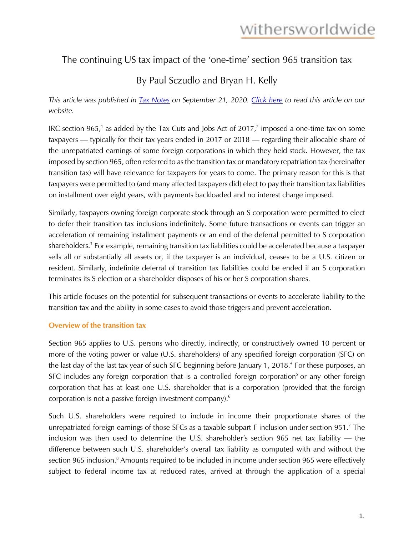### The continuing US tax impact of the 'one-time' section 965 transition tax

### By Paul Sczudlo and Bryan H. Kelly

*This article was published in [Tax Notes](https://www.taxnotes.com/tax-notes-federal/corporate-taxation/continuing-impact-one-time-section-965-transition-tax/2020/09/21/2cypg) on September 21, 2020. [Click here](https://www.withersworldwide.com/en-gb/insight/the-continuing-US-tax-impact-of-the-one-time-section-965-transition-tax) to read this article on our website.*

IRC section 965,<sup>1</sup> as added by the Tax Cuts and Jobs Act of 2017,<sup>2</sup> imposed a one-time tax on some taxpayers — typically for their tax years ended in 2017 or 2018 — regarding their allocable share of the unrepatriated earnings of some foreign corporations in which they held stock. However, the tax imposed by section 965, often referred to as the transition tax or mandatory repatriation tax (hereinafter transition tax) will have relevance for taxpayers for years to come. The primary reason for this is that taxpayers were permitted to (and many affected taxpayers did) elect to pay their transition tax liabilities on installment over eight years, with payments backloaded and no interest charge imposed.

Similarly, taxpayers owning foreign corporate stock through an S corporation were permitted to elect to defer their transition tax inclusions indefinitely. Some future transactions or events can trigger an acceleration of remaining installment payments or an end of the deferral permitted to S corporation shareholders.<sup>3</sup> For example, remaining transition tax liabilities could be accelerated because a taxpayer sells all or substantially all assets or, if the taxpayer is an individual, ceases to be a U.S. citizen or resident. Similarly, indefinite deferral of transition tax liabilities could be ended if an S corporation terminates its S election or a shareholder disposes of his or her S corporation shares.

This article focuses on the potential for subsequent transactions or events to accelerate liability to the transition tax and the ability in some cases to avoid those triggers and prevent acceleration.

#### **Overview of the transition tax**

Section 965 applies to U.S. persons who directly, indirectly, or constructively owned 10 percent or more of the voting power or value (U.S. shareholders) of any specified foreign corporation (SFC) on the last day of the last tax year of such SFC beginning before January 1, 2018.<sup>4</sup> For these purposes, an SFC includes any foreign corporation that is a controlled foreign corporation<sup>5</sup> or any other foreign corporation that has at least one U.S. shareholder that is a corporation (provided that the foreign corporation is not a passive foreign investment company).6

Such U.S. shareholders were required to include in income their proportionate shares of the unrepatriated foreign earnings of those SFCs as a taxable subpart F inclusion under section 951.<sup>7</sup> The inclusion was then used to determine the U.S. shareholder's section 965 net tax liability — the difference between such U.S. shareholder's overall tax liability as computed with and without the section 965 inclusion.<sup>8</sup> Amounts required to be included in income under section 965 were effectively subject to federal income tax at reduced rates, arrived at through the application of a special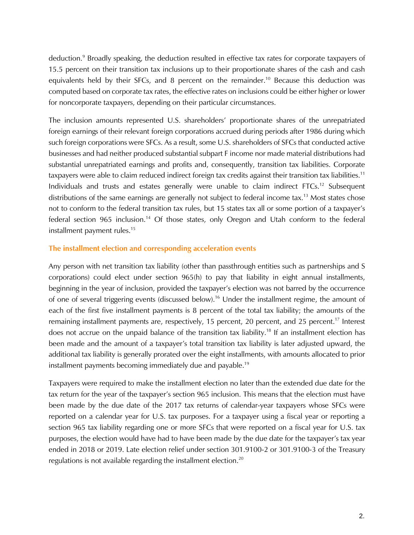deduction.<sup>9</sup> Broadly speaking, the deduction resulted in effective tax rates for corporate taxpayers of 15.5 percent on their transition tax inclusions up to their proportionate shares of the cash and cash equivalents held by their SFCs, and 8 percent on the remainder.<sup>10</sup> Because this deduction was computed based on corporate tax rates, the effective rates on inclusions could be either higher or lower for noncorporate taxpayers, depending on their particular circumstances.

The inclusion amounts represented U.S. shareholders' proportionate shares of the unrepatriated foreign earnings of their relevant foreign corporations accrued during periods after 1986 during which such foreign corporations were SFCs. As a result, some U.S. shareholders of SFCs that conducted active businesses and had neither produced substantial subpart F income nor made material distributions had substantial unrepatriated earnings and profits and, consequently, transition tax liabilities. Corporate taxpayers were able to claim reduced indirect foreign tax credits against their transition tax liabilities.<sup>11</sup> Individuals and trusts and estates generally were unable to claim indirect FTCs.<sup>12</sup> Subsequent distributions of the same earnings are generally not subject to federal income tax.<sup>13</sup> Most states chose not to conform to the federal transition tax rules, but 15 states tax all or some portion of a taxpayer's federal section 965 inclusion.<sup>14</sup> Of those states, only Oregon and Utah conform to the federal installment payment rules.<sup>15</sup>

#### **The installment election and corresponding acceleration events**

Any person with net transition tax liability (other than passthrough entities such as partnerships and S corporations) could elect under section 965(h) to pay that liability in eight annual installments, beginning in the year of inclusion, provided the taxpayer's election was not barred by the occurrence of one of several triggering events (discussed below).<sup>16</sup> Under the installment regime, the amount of each of the first five installment payments is 8 percent of the total tax liability; the amounts of the remaining installment payments are, respectively, 15 percent, 20 percent, and 25 percent.<sup>17</sup> Interest does not accrue on the unpaid balance of the transition tax liability.<sup>18</sup> If an installment election has been made and the amount of a taxpayer's total transition tax liability is later adjusted upward, the additional tax liability is generally prorated over the eight installments, with amounts allocated to prior installment payments becoming immediately due and payable.<sup>19</sup>

Taxpayers were required to make the installment election no later than the extended due date for the tax return for the year of the taxpayer's section 965 inclusion. This means that the election must have been made by the due date of the 2017 tax returns of calendar-year taxpayers whose SFCs were reported on a calendar year for U.S. tax purposes. For a taxpayer using a fiscal year or reporting a section 965 tax liability regarding one or more SFCs that were reported on a fiscal year for U.S. tax purposes, the election would have had to have been made by the due date for the taxpayer's tax year ended in 2018 or 2019. Late election relief under section 301.9100-2 or 301.9100-3 of the Treasury regulations is not available regarding the installment election.<sup>20</sup>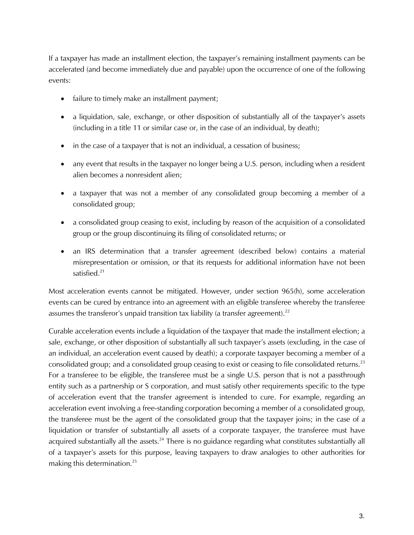If a taxpayer has made an installment election, the taxpayer's remaining installment payments can be accelerated (and become immediately due and payable) upon the occurrence of one of the following events:

- failure to timely make an installment payment;
- a liquidation, sale, exchange, or other disposition of substantially all of the taxpayer's assets (including in a title 11 or similar case or, in the case of an individual, by death);
- in the case of a taxpayer that is not an individual, a cessation of business;
- any event that results in the taxpayer no longer being a U.S. person, including when a resident alien becomes a nonresident alien;
- a taxpayer that was not a member of any consolidated group becoming a member of a consolidated group;
- a consolidated group ceasing to exist, including by reason of the acquisition of a consolidated group or the group discontinuing its filing of consolidated returns; or
- an IRS determination that a transfer agreement (described below) contains a material misrepresentation or omission, or that its requests for additional information have not been satisfied.<sup>21</sup>

Most acceleration events cannot be mitigated. However, under section 965(h), some acceleration events can be cured by entrance into an agreement with an eligible transferee whereby the transferee assumes the transferor's unpaid transition tax liability (a transfer agreement).<sup>22</sup>

Curable acceleration events include a liquidation of the taxpayer that made the installment election; a sale, exchange, or other disposition of substantially all such taxpayer's assets (excluding, in the case of an individual, an acceleration event caused by death); a corporate taxpayer becoming a member of a consolidated group; and a consolidated group ceasing to exist or ceasing to file consolidated returns.<sup>23</sup> For a transferee to be eligible, the transferee must be a single U.S. person that is not a passthrough entity such as a partnership or S corporation, and must satisfy other requirements specific to the type of acceleration event that the transfer agreement is intended to cure. For example, regarding an acceleration event involving a free-standing corporation becoming a member of a consolidated group, the transferee must be the agent of the consolidated group that the taxpayer joins; in the case of a liquidation or transfer of substantially all assets of a corporate taxpayer, the transferee must have acquired substantially all the assets.<sup>24</sup> There is no guidance regarding what constitutes substantially all of a taxpayer's assets for this purpose, leaving taxpayers to draw analogies to other authorities for making this determination.25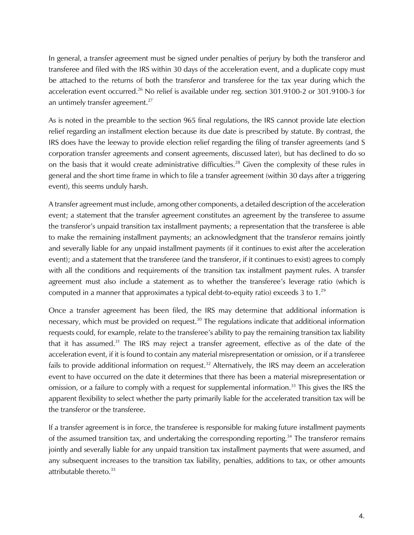In general, a transfer agreement must be signed under penalties of perjury by both the transferor and transferee and filed with the IRS within 30 days of the acceleration event, and a duplicate copy must be attached to the returns of both the transferor and transferee for the tax year during which the acceleration event occurred.<sup>26</sup> No relief is available under reg. section 301.9100-2 or 301.9100-3 for an untimely transfer agreement.<sup>27</sup>

As is noted in the preamble to the section 965 final regulations, the IRS cannot provide late election relief regarding an installment election because its due date is prescribed by statute. By contrast, the IRS does have the leeway to provide election relief regarding the filing of transfer agreements (and S corporation transfer agreements and consent agreements, discussed later), but has declined to do so on the basis that it would create administrative difficulties.<sup>28</sup> Given the complexity of these rules in general and the short time frame in which to file a transfer agreement (within 30 days after a triggering event), this seems unduly harsh.

A transfer agreement must include, among other components, a detailed description of the acceleration event; a statement that the transfer agreement constitutes an agreement by the transferee to assume the transferor's unpaid transition tax installment payments; a representation that the transferee is able to make the remaining installment payments; an acknowledgment that the transferor remains jointly and severally liable for any unpaid installment payments (if it continues to exist after the acceleration event); and a statement that the transferee (and the transferor, if it continues to exist) agrees to comply with all the conditions and requirements of the transition tax installment payment rules. A transfer agreement must also include a statement as to whether the transferee's leverage ratio (which is computed in a manner that approximates a typical debt-to-equity ratio) exceeds 3 to  $1.^{29}$ 

Once a transfer agreement has been filed, the IRS may determine that additional information is necessary, which must be provided on request.<sup>30</sup> The regulations indicate that additional information requests could, for example, relate to the transferee's ability to pay the remaining transition tax liability that it has assumed.<sup>31</sup> The IRS may reject a transfer agreement, effective as of the date of the acceleration event, if it is found to contain any material misrepresentation or omission, or if a transferee fails to provide additional information on request.<sup>32</sup> Alternatively, the IRS may deem an acceleration event to have occurred on the date it determines that there has been a material misrepresentation or omission, or a failure to comply with a request for supplemental information.<sup>33</sup> This gives the IRS the apparent flexibility to select whether the party primarily liable for the accelerated transition tax will be the transferor or the transferee.

If a transfer agreement is in force, the transferee is responsible for making future installment payments of the assumed transition tax, and undertaking the corresponding reporting.<sup>34</sup> The transferor remains jointly and severally liable for any unpaid transition tax installment payments that were assumed, and any subsequent increases to the transition tax liability, penalties, additions to tax, or other amounts attributable thereto.<sup>35</sup>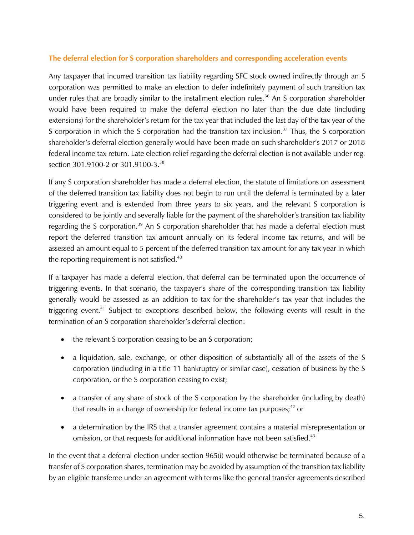#### **The deferral election for S corporation shareholders and corresponding acceleration events**

Any taxpayer that incurred transition tax liability regarding SFC stock owned indirectly through an S corporation was permitted to make an election to defer indefinitely payment of such transition tax under rules that are broadly similar to the installment election rules.<sup>36</sup> An S corporation shareholder would have been required to make the deferral election no later than the due date (including extensions) for the shareholder's return for the tax year that included the last day of the tax year of the S corporation in which the S corporation had the transition tax inclusion.<sup>37</sup> Thus, the S corporation shareholder's deferral election generally would have been made on such shareholder's 2017 or 2018 federal income tax return. Late election relief regarding the deferral election is not available under reg. section 301.9100-2 or 301.9100-3.<sup>38</sup>

If any S corporation shareholder has made a deferral election, the statute of limitations on assessment of the deferred transition tax liability does not begin to run until the deferral is terminated by a later triggering event and is extended from three years to six years, and the relevant S corporation is considered to be jointly and severally liable for the payment of the shareholder's transition tax liability regarding the S corporation.<sup>39</sup> An S corporation shareholder that has made a deferral election must report the deferred transition tax amount annually on its federal income tax returns, and will be assessed an amount equal to 5 percent of the deferred transition tax amount for any tax year in which the reporting requirement is not satisfied.<sup>40</sup>

If a taxpayer has made a deferral election, that deferral can be terminated upon the occurrence of triggering events. In that scenario, the taxpayer's share of the corresponding transition tax liability generally would be assessed as an addition to tax for the shareholder's tax year that includes the triggering event.<sup>41</sup> Subject to exceptions described below, the following events will result in the termination of an S corporation shareholder's deferral election:

- the relevant S corporation ceasing to be an S corporation;
- a liquidation, sale, exchange, or other disposition of substantially all of the assets of the S corporation (including in a title 11 bankruptcy or similar case), cessation of business by the S corporation, or the S corporation ceasing to exist;
- a transfer of any share of stock of the S corporation by the shareholder (including by death) that results in a change of ownership for federal income tax purposes;<sup>42</sup> or
- a determination by the IRS that a transfer agreement contains a material misrepresentation or omission, or that requests for additional information have not been satisfied.<sup>43</sup>

In the event that a deferral election under section 965(i) would otherwise be terminated because of a transfer of S corporation shares, termination may be avoided by assumption of the transition tax liability by an eligible transferee under an agreement with terms like the general transfer agreements described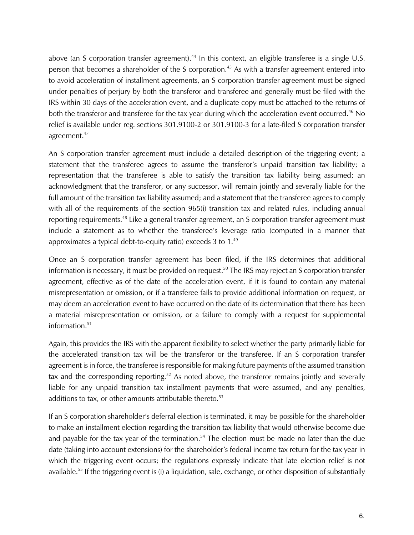above (an S corporation transfer agreement).<sup>44</sup> In this context, an eligible transferee is a single U.S. person that becomes a shareholder of the S corporation.<sup>45</sup> As with a transfer agreement entered into to avoid acceleration of installment agreements, an S corporation transfer agreement must be signed under penalties of perjury by both the transferor and transferee and generally must be filed with the IRS within 30 days of the acceleration event, and a duplicate copy must be attached to the returns of both the transferor and transferee for the tax year during which the acceleration event occurred.<sup>46</sup> No relief is available under reg. sections 301.9100-2 or 301.9100-3 for a late-filed S corporation transfer agreement.47

An S corporation transfer agreement must include a detailed description of the triggering event; a statement that the transferee agrees to assume the transferor's unpaid transition tax liability; a representation that the transferee is able to satisfy the transition tax liability being assumed; an acknowledgment that the transferor, or any successor, will remain jointly and severally liable for the full amount of the transition tax liability assumed; and a statement that the transferee agrees to comply with all of the requirements of the section 965(i) transition tax and related rules, including annual reporting requirements.<sup>48</sup> Like a general transfer agreement, an S corporation transfer agreement must include a statement as to whether the transferee's leverage ratio (computed in a manner that approximates a typical debt-to-equity ratio) exceeds 3 to 1.49

Once an S corporation transfer agreement has been filed, if the IRS determines that additional information is necessary, it must be provided on request.<sup>50</sup> The IRS may reject an S corporation transfer agreement, effective as of the date of the acceleration event, if it is found to contain any material misrepresentation or omission, or if a transferee fails to provide additional information on request, or may deem an acceleration event to have occurred on the date of its determination that there has been a material misrepresentation or omission, or a failure to comply with a request for supplemental information. $51$ 

Again, this provides the IRS with the apparent flexibility to select whether the party primarily liable for the accelerated transition tax will be the transferor or the transferee. If an S corporation transfer agreement is in force, the transferee is responsible for making future payments of the assumed transition tax and the corresponding reporting.<sup>52</sup> As noted above, the transferor remains jointly and severally liable for any unpaid transition tax installment payments that were assumed, and any penalties, additions to tax, or other amounts attributable thereto.<sup>53</sup>

If an S corporation shareholder's deferral election is terminated, it may be possible for the shareholder to make an installment election regarding the transition tax liability that would otherwise become due and payable for the tax year of the termination.<sup>54</sup> The election must be made no later than the due date (taking into account extensions) for the shareholder's federal income tax return for the tax year in which the triggering event occurs; the regulations expressly indicate that late election relief is not available.<sup>55</sup> If the triggering event is (i) a liquidation, sale, exchange, or other disposition of substantially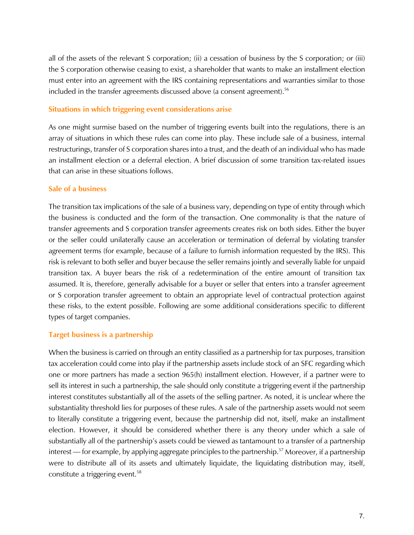all of the assets of the relevant S corporation; (ii) a cessation of business by the S corporation; or (iii) the S corporation otherwise ceasing to exist, a shareholder that wants to make an installment election must enter into an agreement with the IRS containing representations and warranties similar to those included in the transfer agreements discussed above (a consent agreement).<sup>56</sup>

#### **Situations in which triggering event considerations arise**

As one might surmise based on the number of triggering events built into the regulations, there is an array of situations in which these rules can come into play. These include sale of a business, internal restructurings, transfer of S corporation shares into a trust, and the death of an individual who has made an installment election or a deferral election. A brief discussion of some transition tax-related issues that can arise in these situations follows.

#### **Sale of a business**

The transition tax implications of the sale of a business vary, depending on type of entity through which the business is conducted and the form of the transaction. One commonality is that the nature of transfer agreements and S corporation transfer agreements creates risk on both sides. Either the buyer or the seller could unilaterally cause an acceleration or termination of deferral by violating transfer agreement terms (for example, because of a failure to furnish information requested by the IRS). This risk is relevant to both seller and buyer because the seller remains jointly and severally liable for unpaid transition tax. A buyer bears the risk of a redetermination of the entire amount of transition tax assumed. It is, therefore, generally advisable for a buyer or seller that enters into a transfer agreement or S corporation transfer agreement to obtain an appropriate level of contractual protection against these risks, to the extent possible. Following are some additional considerations specific to different types of target companies.

#### **Target business is a partnership**

When the business is carried on through an entity classified as a partnership for tax purposes, transition tax acceleration could come into play if the partnership assets include stock of an SFC regarding which one or more partners has made a section 965(h) installment election. However, if a partner were to sell its interest in such a partnership, the sale should only constitute a triggering event if the partnership interest constitutes substantially all of the assets of the selling partner. As noted, it is unclear where the substantiality threshold lies for purposes of these rules. A sale of the partnership assets would not seem to literally constitute a triggering event, because the partnership did not, itself, make an installment election. However, it should be considered whether there is any theory under which a sale of substantially all of the partnership's assets could be viewed as tantamount to a transfer of a partnership interest — for example, by applying aggregate principles to the partnership.<sup>57</sup> Moreover, if a partnership were to distribute all of its assets and ultimately liquidate, the liquidating distribution may, itself, constitute a triggering event.<sup>58</sup>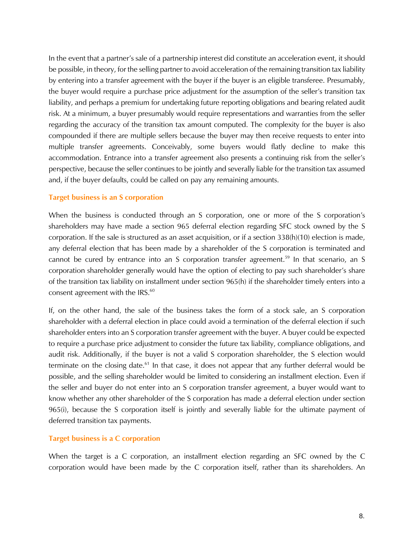In the event that a partner's sale of a partnership interest did constitute an acceleration event, it should be possible, in theory, for the selling partner to avoid acceleration of the remaining transition tax liability by entering into a transfer agreement with the buyer if the buyer is an eligible transferee. Presumably, the buyer would require a purchase price adjustment for the assumption of the seller's transition tax liability, and perhaps a premium for undertaking future reporting obligations and bearing related audit risk. At a minimum, a buyer presumably would require representations and warranties from the seller regarding the accuracy of the transition tax amount computed. The complexity for the buyer is also compounded if there are multiple sellers because the buyer may then receive requests to enter into multiple transfer agreements. Conceivably, some buyers would flatly decline to make this accommodation. Entrance into a transfer agreement also presents a continuing risk from the seller's perspective, because the seller continues to be jointly and severally liable for the transition tax assumed and, if the buyer defaults, could be called on pay any remaining amounts.

#### **Target business is an S corporation**

When the business is conducted through an S corporation, one or more of the S corporation's shareholders may have made a section 965 deferral election regarding SFC stock owned by the S corporation. If the sale is structured as an asset acquisition, or if a section 338(h)(10) election is made, any deferral election that has been made by a shareholder of the S corporation is terminated and cannot be cured by entrance into an S corporation transfer agreement.<sup>59</sup> In that scenario, an S corporation shareholder generally would have the option of electing to pay such shareholder's share of the transition tax liability on installment under section 965(h) if the shareholder timely enters into a consent agreement with the IRS.<sup>60</sup>

If, on the other hand, the sale of the business takes the form of a stock sale, an S corporation shareholder with a deferral election in place could avoid a termination of the deferral election if such shareholder enters into an S corporation transfer agreement with the buyer. A buyer could be expected to require a purchase price adjustment to consider the future tax liability, compliance obligations, and audit risk. Additionally, if the buyer is not a valid S corporation shareholder, the S election would terminate on the closing date.<sup>61</sup> In that case, it does not appear that any further deferral would be possible, and the selling shareholder would be limited to considering an installment election. Even if the seller and buyer do not enter into an S corporation transfer agreement, a buyer would want to know whether any other shareholder of the S corporation has made a deferral election under section 965(i), because the S corporation itself is jointly and severally liable for the ultimate payment of deferred transition tax payments.

#### **Target business is a C corporation**

When the target is a C corporation, an installment election regarding an SFC owned by the C corporation would have been made by the C corporation itself, rather than its shareholders. An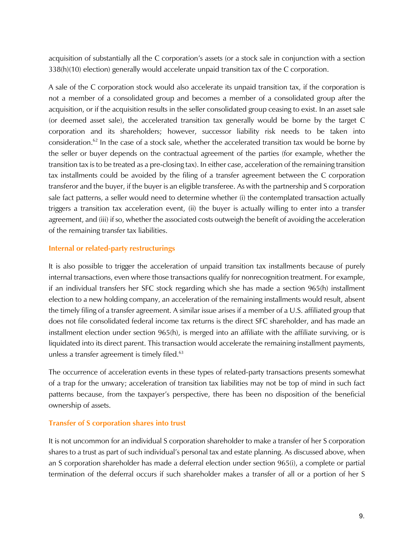acquisition of substantially all the C corporation's assets (or a stock sale in conjunction with a section 338(h)(10) election) generally would accelerate unpaid transition tax of the C corporation.

A sale of the C corporation stock would also accelerate its unpaid transition tax, if the corporation is not a member of a consolidated group and becomes a member of a consolidated group after the acquisition, or if the acquisition results in the seller consolidated group ceasing to exist. In an asset sale (or deemed asset sale), the accelerated transition tax generally would be borne by the target C corporation and its shareholders; however, successor liability risk needs to be taken into consideration.62 In the case of a stock sale, whether the accelerated transition tax would be borne by the seller or buyer depends on the contractual agreement of the parties (for example, whether the transition tax is to be treated as a pre-closing tax). In either case, acceleration of the remaining transition tax installments could be avoided by the filing of a transfer agreement between the C corporation transferor and the buyer, if the buyer is an eligible transferee. As with the partnership and S corporation sale fact patterns, a seller would need to determine whether (i) the contemplated transaction actually triggers a transition tax acceleration event, (ii) the buyer is actually willing to enter into a transfer agreement, and (iii) if so, whether the associated costs outweigh the benefit of avoiding the acceleration of the remaining transfer tax liabilities.

#### **Internal or related-party restructurings**

It is also possible to trigger the acceleration of unpaid transition tax installments because of purely internal transactions, even where those transactions qualify for nonrecognition treatment. For example, if an individual transfers her SFC stock regarding which she has made a section 965(h) installment election to a new holding company, an acceleration of the remaining installments would result, absent the timely filing of a transfer agreement. A similar issue arises if a member of a U.S. affiliated group that does not file consolidated federal income tax returns is the direct SFC shareholder, and has made an installment election under section 965(h), is merged into an affiliate with the affiliate surviving, or is liquidated into its direct parent. This transaction would accelerate the remaining installment payments, unless a transfer agreement is timely filed. $63$ 

The occurrence of acceleration events in these types of related-party transactions presents somewhat of a trap for the unwary; acceleration of transition tax liabilities may not be top of mind in such fact patterns because, from the taxpayer's perspective, there has been no disposition of the beneficial ownership of assets.

#### **Transfer of S corporation shares into trust**

It is not uncommon for an individual S corporation shareholder to make a transfer of her S corporation shares to a trust as part of such individual's personal tax and estate planning. As discussed above, when an S corporation shareholder has made a deferral election under section 965(i), a complete or partial termination of the deferral occurs if such shareholder makes a transfer of all or a portion of her S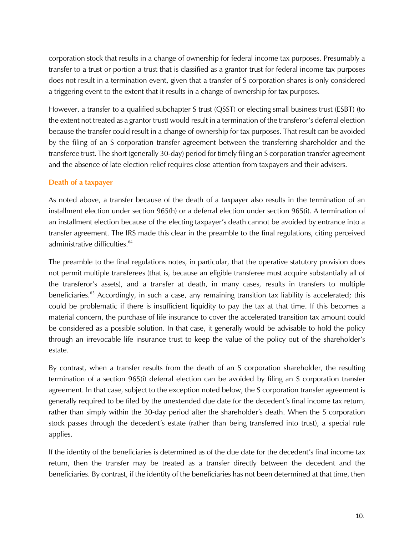corporation stock that results in a change of ownership for federal income tax purposes. Presumably a transfer to a trust or portion a trust that is classified as a grantor trust for federal income tax purposes does not result in a termination event, given that a transfer of S corporation shares is only considered a triggering event to the extent that it results in a change of ownership for tax purposes.

However, a transfer to a qualified subchapter S trust (QSST) or electing small business trust (ESBT) (to the extent not treated as a grantor trust) would result in a termination of the transferor's deferral election because the transfer could result in a change of ownership for tax purposes. That result can be avoided by the filing of an S corporation transfer agreement between the transferring shareholder and the transferee trust. The short (generally 30-day) period for timely filing an S corporation transfer agreement and the absence of late election relief requires close attention from taxpayers and their advisers.

#### **Death of a taxpayer**

As noted above, a transfer because of the death of a taxpayer also results in the termination of an installment election under section 965(h) or a deferral election under section 965(i). A termination of an installment election because of the electing taxpayer's death cannot be avoided by entrance into a transfer agreement. The IRS made this clear in the preamble to the final regulations, citing perceived administrative difficulties.<sup>64</sup>

The preamble to the final regulations notes, in particular, that the operative statutory provision does not permit multiple transferees (that is, because an eligible transferee must acquire substantially all of the transferor's assets), and a transfer at death, in many cases, results in transfers to multiple beneficiaries.<sup>65</sup> Accordingly, in such a case, any remaining transition tax liability is accelerated; this could be problematic if there is insufficient liquidity to pay the tax at that time. If this becomes a material concern, the purchase of life insurance to cover the accelerated transition tax amount could be considered as a possible solution. In that case, it generally would be advisable to hold the policy through an irrevocable life insurance trust to keep the value of the policy out of the shareholder's estate.

By contrast, when a transfer results from the death of an S corporation shareholder, the resulting termination of a section 965(i) deferral election can be avoided by filing an S corporation transfer agreement. In that case, subject to the exception noted below, the S corporation transfer agreement is generally required to be filed by the unextended due date for the decedent's final income tax return, rather than simply within the 30-day period after the shareholder's death. When the S corporation stock passes through the decedent's estate (rather than being transferred into trust), a special rule applies.

If the identity of the beneficiaries is determined as of the due date for the decedent's final income tax return, then the transfer may be treated as a transfer directly between the decedent and the beneficiaries. By contrast, if the identity of the beneficiaries has not been determined at that time, then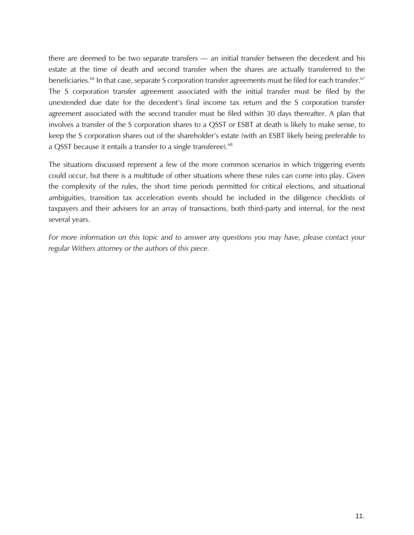there are deemed to be two separate transfers — an initial transfer between the decedent and his estate at the time of death and second transfer when the shares are actually transferred to the beneficiaries.<sup>66</sup> In that case, separate S corporation transfer agreements must be filed for each transfer.<sup>67</sup> The S corporation transfer agreement associated with the initial transfer must be filed by the unextended due date for the decedent's final income tax return and the S corporation transfer agreement associated with the second transfer must be filed within 30 days thereafter. A plan that involves a transfer of the S corporation shares to a QSST or ESBT at death is likely to make sense, to keep the S corporation shares out of the shareholder's estate (with an ESBT likely being preferable to a QSST because it entails a transfer to a single transferee).<sup>68</sup>

The situations discussed represent a few of the more common scenarios in which triggering events could occur, but there is a multitude of other situations where these rules can come into play. Given the complexity of the rules, the short time periods permitted for critical elections, and situational ambiguities, transition tax acceleration events should be included in the diligence checklists of taxpayers and their advisers for an array of transactions, both third-party and internal, for the next several years.

*For more information on this topic and to answer any questions you may have, please contact your regular Withers attorney or the authors of this piece.*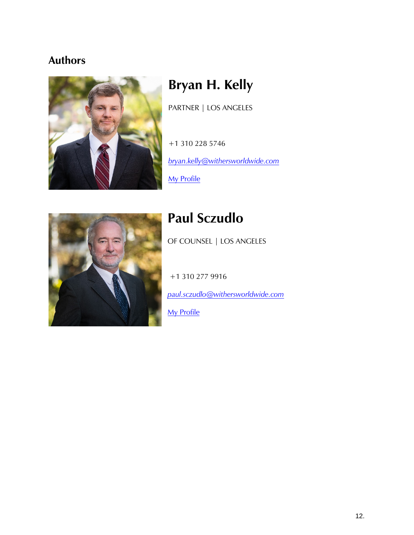## **Authors**



# **Bryan H. Kelly**

PARTNER | LOS ANGELES

+1 310 228 5746 *[bryan.kelly@withersworldwide.com](mailto:bryan.kelly@withersworldwide.com?subject=Website%20Enquiry)*

[My Profile](https://www.withersworldwide.com/en-gb/people/bryan-kelly)



## **Paul Sczudlo**

OF COUNSEL | LOS ANGELES

+1 310 277 9916

*[paul.sczudlo@withersworldwide.com](mailto:paul.sczudlo@withersworldwide.com?subject=Website%20Enquiry)*

**[My Profile](https://www.withersworldwide.com/en-gb/people/paul-sczudlo)**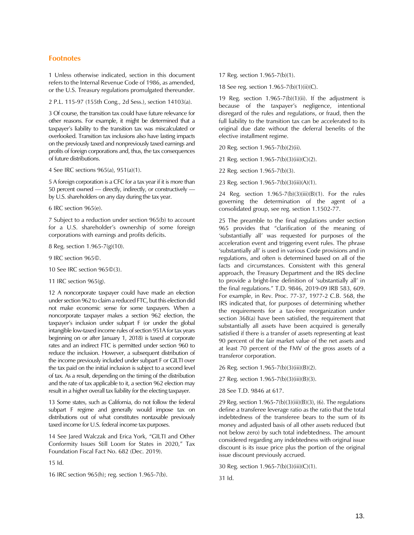#### **Footnotes**

1 Unless otherwise indicated, section in this document refers to the Internal Revenue Code of 1986, as amended, or the U.S. Treasury regulations promulgated thereunder.

2 P.L. 115-97 (155th Cong., 2d Sess.), section 14103(a).

3 Of course, the transition tax could have future relevance for other reasons. For example, it might be determined that a taxpayer's liability to the transition tax was miscalculated or overlooked. Transition tax inclusions also have lasting impacts on the previously taxed and nonpreviously taxed earnings and profits of foreign corporations and, thus, the tax consequences of future distributions.

4 See IRC sections 965(a), 951(a)(1).

5 A foreign corporation is a CFC for a tax year if it is more than 50 percent owned — directly, indirectly, or constructively by U.S. shareholders on any day during the tax year.

6 IRC section 965(e).

7 Subject to a reduction under section 965(b) to account for a U.S. shareholder's ownership of some foreign corporations with earnings and profits deficits.

8 Reg. section 1.965-7(g)(10).

- 9 IRC section 965©.
- 10 See IRC section 965©(3).
- 11 IRC section 965(g).

12 A noncorporate taxpayer could have made an election under section 962 to claim a reduced FTC, but this election did not make economic sense for some taxpayers. When a noncorporate taxpayer makes a section 962 election, the taxpayer's inclusion under subpart F (or under the global intangible low-taxed income rules of section 951A for tax years beginning on or after January 1, 2018) is taxed at corporate rates and an indirect FTC is permitted under section 960 to reduce the inclusion. However, a subsequent distribution of the income previously included under subpart F or GILTI over the tax paid on the initial inclusion is subject to a second level of tax. As a result, depending on the timing of the distribution and the rate of tax applicable to it, a section 962 election may result in a higher overall tax liability for the electing taxpayer.

13 Some states, such as California, do not follow the federal subpart F regime and generally would impose tax on distributions out of what constitutes nontaxable previously taxed income for U.S. federal income tax purposes.

14 See Jared Walczak and Erica York, "GILTI and Other Conformity Issues Still Loom for States in 2020," Tax Foundation Fiscal Fact No. 682 (Dec. 2019).

15 Id.

16 IRC section 965(h); reg. section 1.965-7(b).

17 Reg. section 1.965-7(b)(1).

18 See reg. section 1.965-7(b)(1)(ii)(C).

19 Reg. section 1.965-7(b)(1)(ii). If the adjustment is because of the taxpayer's negligence, intentional disregard of the rules and regulations, or fraud, then the full liability to the transition tax can be accelerated to its original due date without the deferral benefits of the elective installment regime.

20 Reg. section 1.965-7(b)(2)(ii).

21 Reg. section 1.965-7(b)(3)(iii)(C)(2).

22 Reg. section 1.965-7(b)(3).

23 Reg. section 1.965-7(b)(3)(iii)(A)(1).

24 Reg. section 1.965-7(b)(3)(iii)(B)(1). For the rules governing the determination of the agent of a consolidated group, see reg. section 1.1502-77.

25 The preamble to the final regulations under section 965 provides that "clarification of the meaning of 'substantially all' was requested for purposes of the acceleration event and triggering event rules. The phrase 'substantially all' is used in various Code provisions and in regulations, and often is determined based on all of the facts and circumstances. Consistent with this general approach, the Treasury Department and the IRS decline to provide a bright-line definition of 'substantially all' in the final regulations." T.D. 9846, 2019-09 IRB 583, 609. For example, in Rev. Proc. 77-37, 1977-2 C.B. 568, the IRS indicated that, for purposes of determining whether the requirements for a tax-free reorganization under section 368(a) have been satisfied, the requirement that substantially all assets have been acquired is generally satisfied if there is a transfer of assets representing at least 90 percent of the fair market value of the net assets and at least 70 percent of the FMV of the gross assets of a transferor corporation.

26 Reg. section 1.965-7(b)(3)(iii)(B)(2).

27 Reg. section 1.965-7(b)(3)(iii)(B)(3).

28 See T.D. 9846 at 617.

29 Reg. section 1.965-7(b)(3)(iii)(B)(3), (6). The regulations define a transferee leverage ratio as the ratio that the total indebtedness of the transferee bears to the sum of its money and adjusted basis of all other assets reduced (but not below zero) by such total indebtedness. The amount considered regarding any indebtedness with original issue discount is its issue price plus the portion of the original issue discount previously accrued.

30 Reg. section 1.965-7(b)(3)(iii)(C)(1).